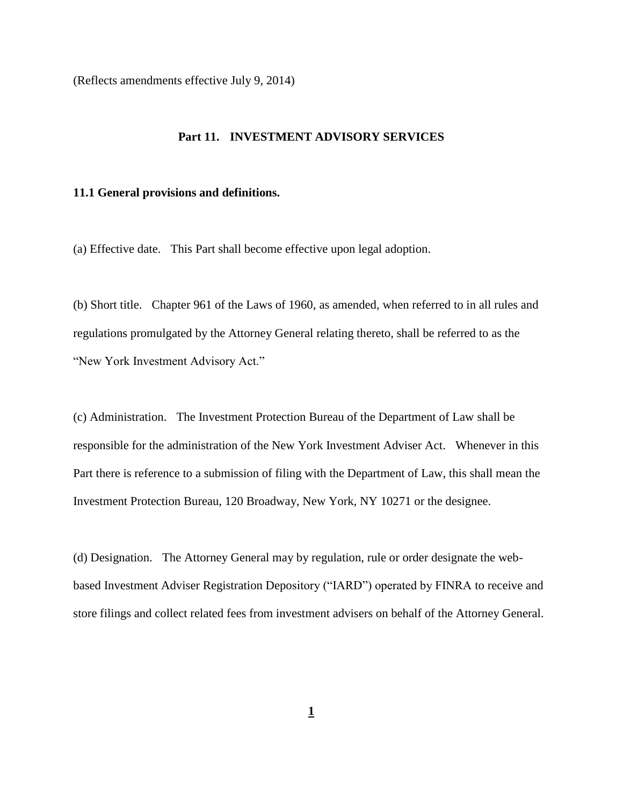(Reflects amendments effective July 9, 2014)

#### **Part 11. INVESTMENT ADVISORY SERVICES**

#### **11.1 General provisions and definitions.**

(a) Effective date. This Part shall become effective upon legal adoption.

(b) Short title. Chapter 961 of the Laws of 1960, as amended, when referred to in all rules and regulations promulgated by the Attorney General relating thereto, shall be referred to as the "New York Investment Advisory Act."

(c) Administration. The Investment Protection Bureau of the Department of Law shall be responsible for the administration of the New York Investment Adviser Act. Whenever in this Part there is reference to a submission of filing with the Department of Law, this shall mean the Investment Protection Bureau, 120 Broadway, New York, NY 10271 or the designee.

(d) Designation. The Attorney General may by regulation, rule or order designate the webbased Investment Adviser Registration Depository ("IARD") operated by FINRA to receive and store filings and collect related fees from investment advisers on behalf of the Attorney General.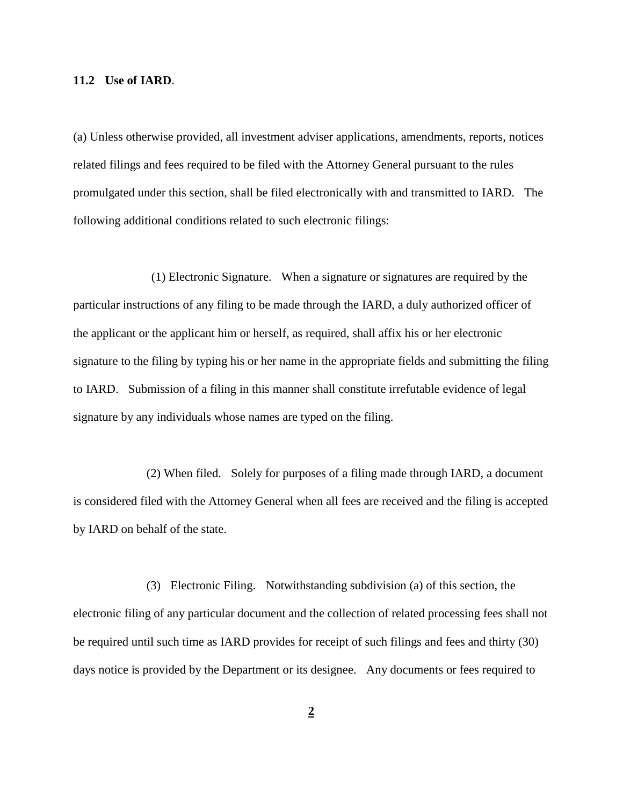## **11.2 Use of IARD**.

(a) Unless otherwise provided, all investment adviser applications, amendments, reports, notices related filings and fees required to be filed with the Attorney General pursuant to the rules promulgated under this section, shall be filed electronically with and transmitted to IARD. The following additional conditions related to such electronic filings:

(1) Electronic Signature. When a signature or signatures are required by the particular instructions of any filing to be made through the IARD, a duly authorized officer of the applicant or the applicant him or herself, as required, shall affix his or her electronic signature to the filing by typing his or her name in the appropriate fields and submitting the filing to IARD. Submission of a filing in this manner shall constitute irrefutable evidence of legal signature by any individuals whose names are typed on the filing.

 (2) When filed. Solely for purposes of a filing made through IARD, a document is considered filed with the Attorney General when all fees are received and the filing is accepted by IARD on behalf of the state.

(3) Electronic Filing. Notwithstanding subdivision (a) of this section, the electronic filing of any particular document and the collection of related processing fees shall not be required until such time as IARD provides for receipt of such filings and fees and thirty (30) days notice is provided by the Department or its designee. Any documents or fees required to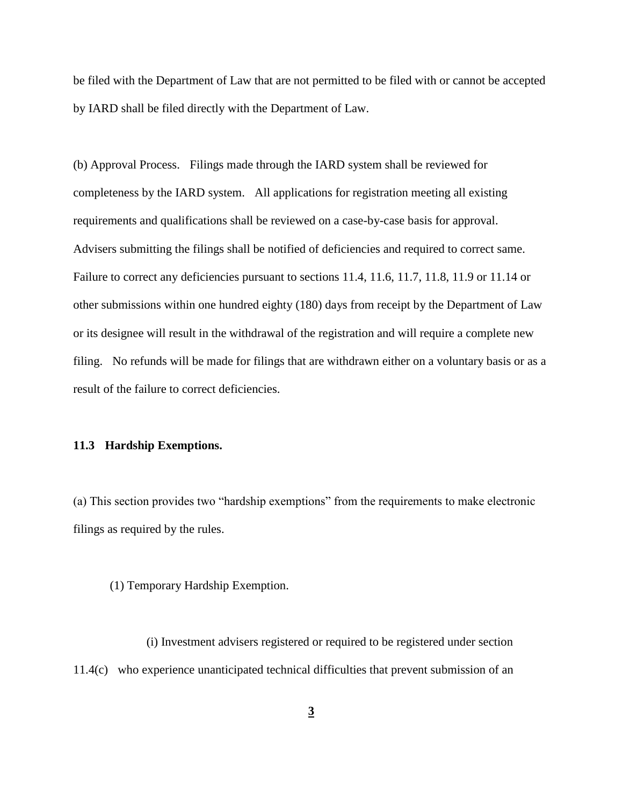be filed with the Department of Law that are not permitted to be filed with or cannot be accepted by IARD shall be filed directly with the Department of Law.

(b) Approval Process. Filings made through the IARD system shall be reviewed for completeness by the IARD system. All applications for registration meeting all existing requirements and qualifications shall be reviewed on a case-by-case basis for approval. Advisers submitting the filings shall be notified of deficiencies and required to correct same. Failure to correct any deficiencies pursuant to sections 11.4, 11.6, 11.7, 11.8, 11.9 or 11.14 or other submissions within one hundred eighty (180) days from receipt by the Department of Law or its designee will result in the withdrawal of the registration and will require a complete new filing. No refunds will be made for filings that are withdrawn either on a voluntary basis or as a result of the failure to correct deficiencies.

#### **11.3 Hardship Exemptions.**

(a) This section provides two "hardship exemptions" from the requirements to make electronic filings as required by the rules.

(1) Temporary Hardship Exemption.

(i) Investment advisers registered or required to be registered under section 11.4(c) who experience unanticipated technical difficulties that prevent submission of an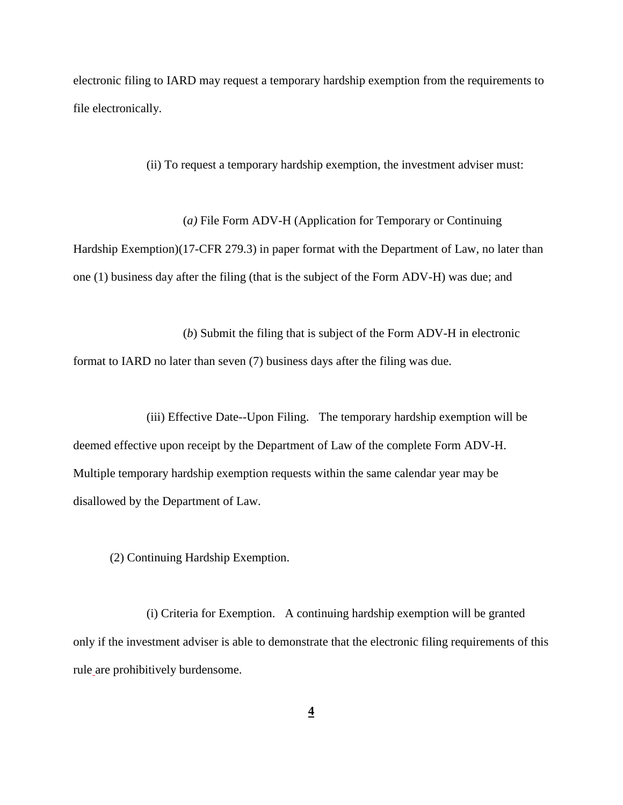electronic filing to IARD may request a temporary hardship exemption from the requirements to file electronically.

(ii) To request a temporary hardship exemption, the investment adviser must:

(*a)* File Form ADV-H (Application for Temporary or Continuing Hardship Exemption)(17-CFR 279.3) in paper format with the Department of Law, no later than one (1) business day after the filing (that is the subject of the Form ADV-H) was due; and

(*b*) Submit the filing that is subject of the Form ADV-H in electronic format to IARD no later than seven (7) business days after the filing was due.

(iii) Effective Date--Upon Filing. The temporary hardship exemption will be deemed effective upon receipt by the Department of Law of the complete Form ADV-H. Multiple temporary hardship exemption requests within the same calendar year may be disallowed by the Department of Law.

(2) Continuing Hardship Exemption.

(i) Criteria for Exemption. A continuing hardship exemption will be granted only if the investment adviser is able to demonstrate that the electronic filing requirements of this rule are prohibitively burdensome.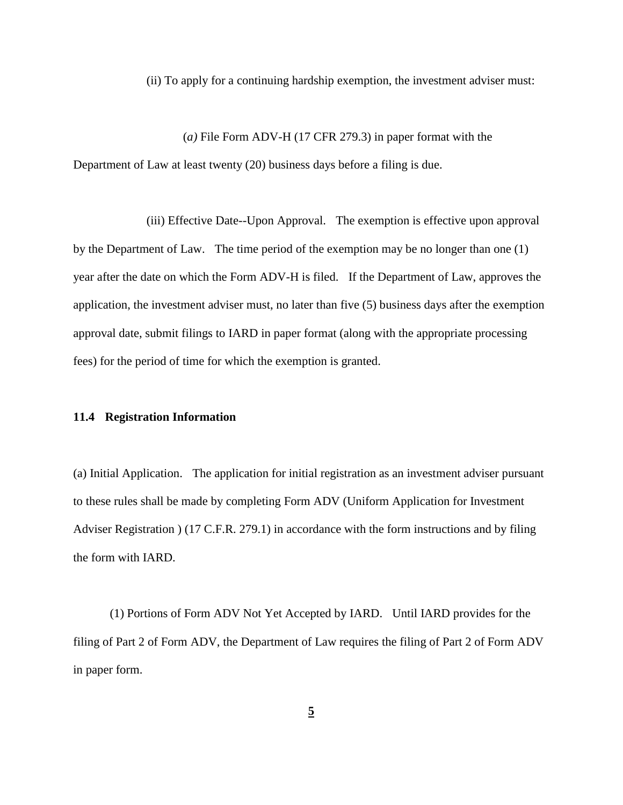(ii) To apply for a continuing hardship exemption, the investment adviser must:

(*a)* File Form ADV-H (17 CFR 279.3) in paper format with the Department of Law at least twenty (20) business days before a filing is due.

(iii) Effective Date--Upon Approval. The exemption is effective upon approval by the Department of Law. The time period of the exemption may be no longer than one (1) year after the date on which the Form ADV-H is filed. If the Department of Law, approves the application, the investment adviser must, no later than five (5) business days after the exemption approval date, submit filings to IARD in paper format (along with the appropriate processing fees) for the period of time for which the exemption is granted.

#### **11.4 Registration Information**

(a) Initial Application. The application for initial registration as an investment adviser pursuant to these rules shall be made by completing Form ADV (Uniform Application for Investment Adviser Registration ) (17 C.F.R. 279.1) in accordance with the form instructions and by filing the form with IARD.

(1) Portions of Form ADV Not Yet Accepted by IARD. Until IARD provides for the filing of Part 2 of Form ADV, the Department of Law requires the filing of Part 2 of Form ADV in paper form.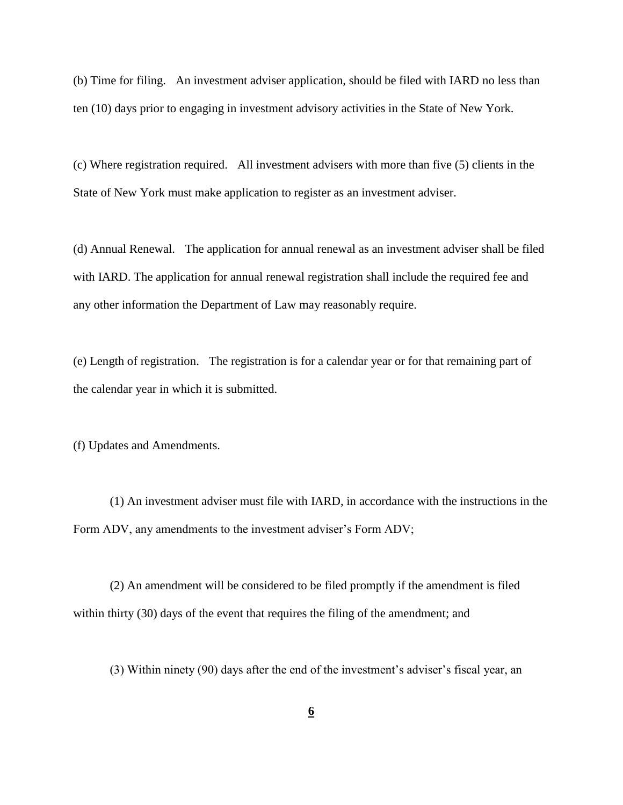(b) Time for filing. An investment adviser application, should be filed with IARD no less than ten (10) days prior to engaging in investment advisory activities in the State of New York.

(c) Where registration required. All investment advisers with more than five (5) clients in the State of New York must make application to register as an investment adviser.

(d) Annual Renewal. The application for annual renewal as an investment adviser shall be filed with IARD. The application for annual renewal registration shall include the required fee and any other information the Department of Law may reasonably require.

(e) Length of registration. The registration is for a calendar year or for that remaining part of the calendar year in which it is submitted.

(f) Updates and Amendments.

(1) An investment adviser must file with IARD, in accordance with the instructions in the Form ADV, any amendments to the investment adviser's Form ADV;

(2) An amendment will be considered to be filed promptly if the amendment is filed within thirty (30) days of the event that requires the filing of the amendment; and

(3) Within ninety (90) days after the end of the investment's adviser's fiscal year, an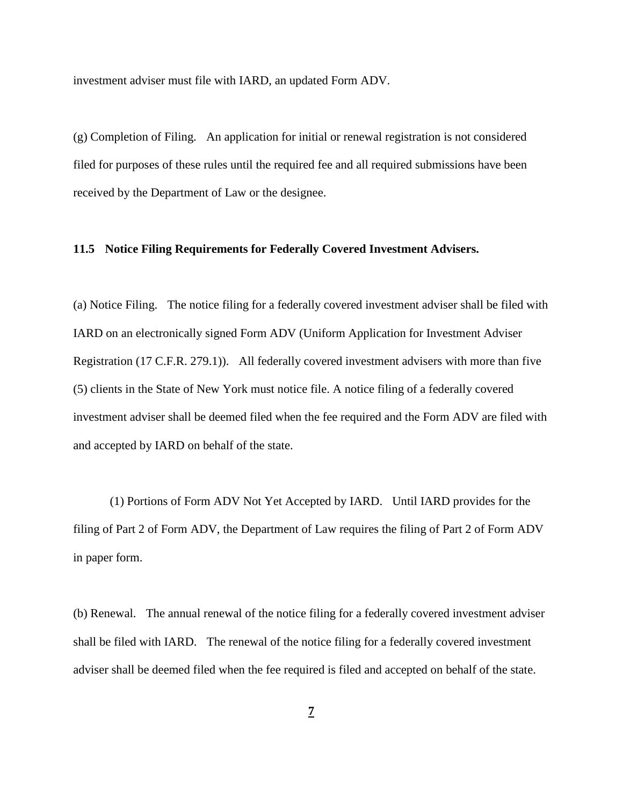investment adviser must file with IARD, an updated Form ADV.

(g) Completion of Filing. An application for initial or renewal registration is not considered filed for purposes of these rules until the required fee and all required submissions have been received by the Department of Law or the designee.

# **11.5 Notice Filing Requirements for Federally Covered Investment Advisers.**

(a) Notice Filing. The notice filing for a federally covered investment adviser shall be filed with IARD on an electronically signed Form ADV (Uniform Application for Investment Adviser Registration (17 C.F.R. 279.1)). All federally covered investment advisers with more than five (5) clients in the State of New York must notice file. A notice filing of a federally covered investment adviser shall be deemed filed when the fee required and the Form ADV are filed with and accepted by IARD on behalf of the state.

(1) Portions of Form ADV Not Yet Accepted by IARD. Until IARD provides for the filing of Part 2 of Form ADV, the Department of Law requires the filing of Part 2 of Form ADV in paper form.

(b) Renewal. The annual renewal of the notice filing for a federally covered investment adviser shall be filed with IARD. The renewal of the notice filing for a federally covered investment adviser shall be deemed filed when the fee required is filed and accepted on behalf of the state.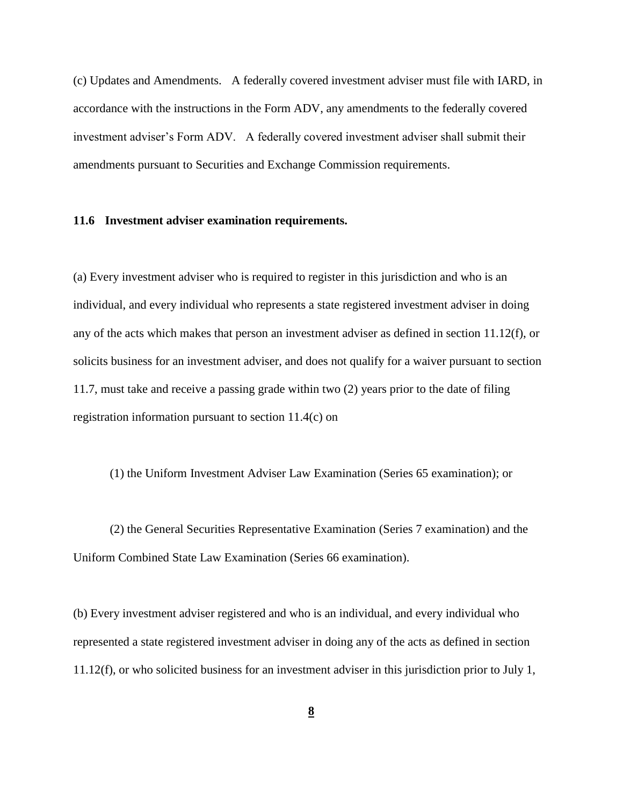(c) Updates and Amendments. A federally covered investment adviser must file with IARD, in accordance with the instructions in the Form ADV, any amendments to the federally covered investment adviser's Form ADV. A federally covered investment adviser shall submit their amendments pursuant to Securities and Exchange Commission requirements.

# **11.6 Investment adviser examination requirements.**

(a) Every investment adviser who is required to register in this jurisdiction and who is an individual, and every individual who represents a state registered investment adviser in doing any of the acts which makes that person an investment adviser as defined in section 11.12(f), or solicits business for an investment adviser, and does not qualify for a waiver pursuant to section 11.7, must take and receive a passing grade within two (2) years prior to the date of filing registration information pursuant to section 11.4(c) on

(1) the Uniform Investment Adviser Law Examination (Series 65 examination); or

(2) the General Securities Representative Examination (Series 7 examination) and the Uniform Combined State Law Examination (Series 66 examination).

(b) Every investment adviser registered and who is an individual, and every individual who represented a state registered investment adviser in doing any of the acts as defined in section 11.12(f), or who solicited business for an investment adviser in this jurisdiction prior to July 1,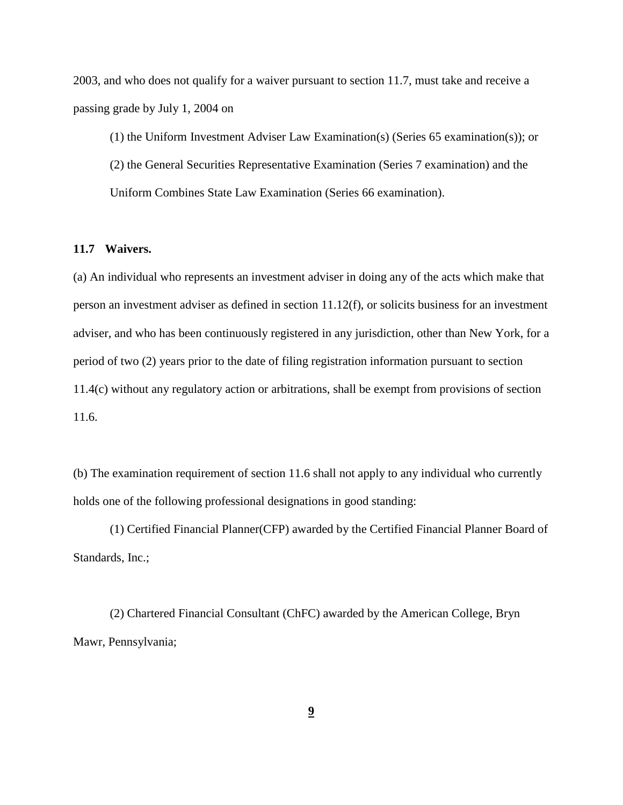2003, and who does not qualify for a waiver pursuant to section 11.7, must take and receive a passing grade by July 1, 2004 on

(1) the Uniform Investment Adviser Law Examination(s) (Series 65 examination(s)); or (2) the General Securities Representative Examination (Series 7 examination) and the Uniform Combines State Law Examination (Series 66 examination).

# **11.7 Waivers.**

(a) An individual who represents an investment adviser in doing any of the acts which make that person an investment adviser as defined in section 11.12(f), or solicits business for an investment adviser, and who has been continuously registered in any jurisdiction, other than New York, for a period of two (2) years prior to the date of filing registration information pursuant to section 11.4(c) without any regulatory action or arbitrations, shall be exempt from provisions of section 11.6.

(b) The examination requirement of section 11.6 shall not apply to any individual who currently holds one of the following professional designations in good standing:

(1) Certified Financial Planner(CFP) awarded by the Certified Financial Planner Board of Standards, Inc.;

(2) Chartered Financial Consultant (ChFC) awarded by the American College, Bryn Mawr, Pennsylvania;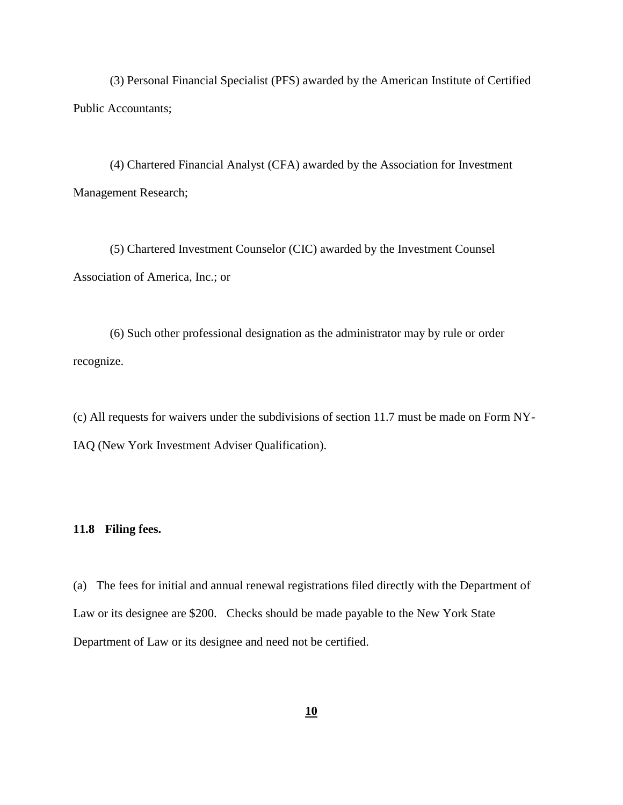(3) Personal Financial Specialist (PFS) awarded by the American Institute of Certified Public Accountants;

(4) Chartered Financial Analyst (CFA) awarded by the Association for Investment Management Research;

(5) Chartered Investment Counselor (CIC) awarded by the Investment Counsel Association of America, Inc.; or

(6) Such other professional designation as the administrator may by rule or order recognize.

(c) All requests for waivers under the subdivisions of section 11.7 must be made on Form NY-IAQ (New York Investment Adviser Qualification).

# **11.8 Filing fees.**

(a) The fees for initial and annual renewal registrations filed directly with the Department of Law or its designee are \$200. Checks should be made payable to the New York State Department of Law or its designee and need not be certified.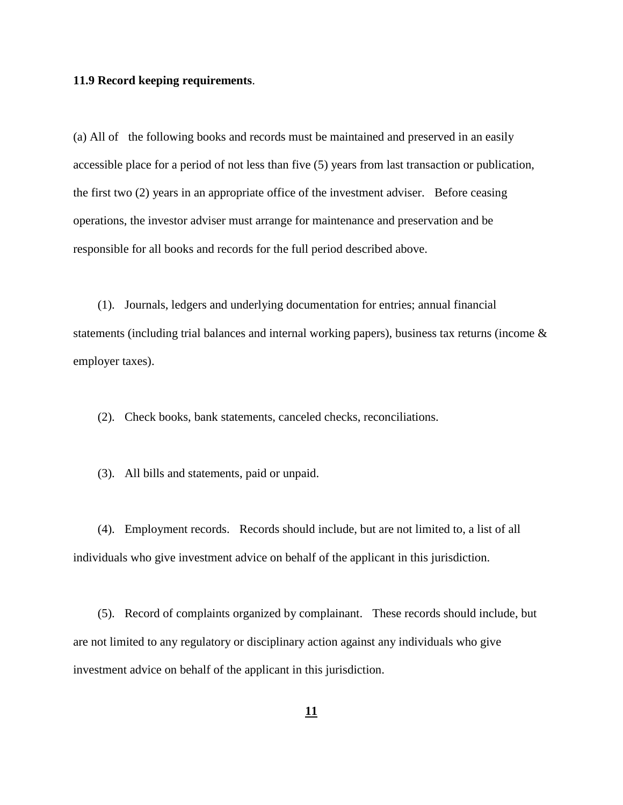## **11.9 Record keeping requirements**.

(a) All of the following books and records must be maintained and preserved in an easily accessible place for a period of not less than five (5) years from last transaction or publication, the first two (2) years in an appropriate office of the investment adviser. Before ceasing operations, the investor adviser must arrange for maintenance and preservation and be responsible for all books and records for the full period described above.

 (1). Journals, ledgers and underlying documentation for entries; annual financial statements (including trial balances and internal working papers), business tax returns (income & employer taxes).

(2). Check books, bank statements, canceled checks, reconciliations.

(3). All bills and statements, paid or unpaid.

 (4). Employment records. Records should include, but are not limited to, a list of all individuals who give investment advice on behalf of the applicant in this jurisdiction.

 (5). Record of complaints organized by complainant. These records should include, but are not limited to any regulatory or disciplinary action against any individuals who give investment advice on behalf of the applicant in this jurisdiction.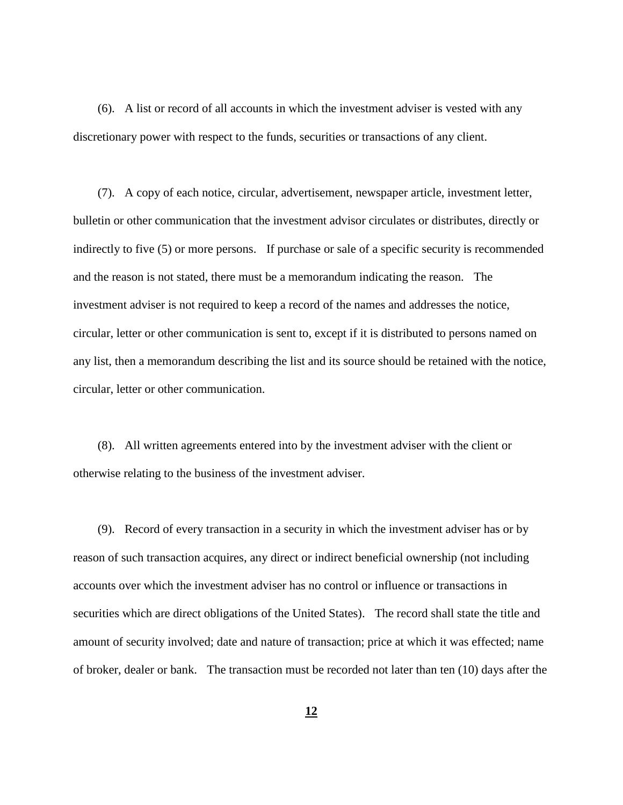(6). A list or record of all accounts in which the investment adviser is vested with any discretionary power with respect to the funds, securities or transactions of any client.

 (7). A copy of each notice, circular, advertisement, newspaper article, investment letter, bulletin or other communication that the investment advisor circulates or distributes, directly or indirectly to five (5) or more persons. If purchase or sale of a specific security is recommended and the reason is not stated, there must be a memorandum indicating the reason. The investment adviser is not required to keep a record of the names and addresses the notice, circular, letter or other communication is sent to, except if it is distributed to persons named on any list, then a memorandum describing the list and its source should be retained with the notice, circular, letter or other communication.

 (8). All written agreements entered into by the investment adviser with the client or otherwise relating to the business of the investment adviser.

 (9). Record of every transaction in a security in which the investment adviser has or by reason of such transaction acquires, any direct or indirect beneficial ownership (not including accounts over which the investment adviser has no control or influence or transactions in securities which are direct obligations of the United States). The record shall state the title and amount of security involved; date and nature of transaction; price at which it was effected; name of broker, dealer or bank. The transaction must be recorded not later than ten (10) days after the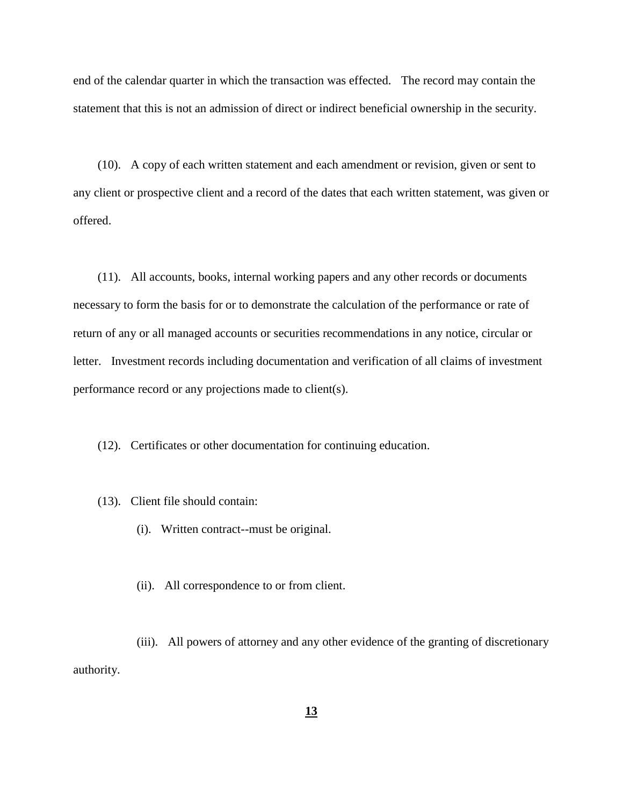end of the calendar quarter in which the transaction was effected. The record may contain the statement that this is not an admission of direct or indirect beneficial ownership in the security.

 (10). A copy of each written statement and each amendment or revision, given or sent to any client or prospective client and a record of the dates that each written statement, was given or offered.

 (11). All accounts, books, internal working papers and any other records or documents necessary to form the basis for or to demonstrate the calculation of the performance or rate of return of any or all managed accounts or securities recommendations in any notice, circular or letter. Investment records including documentation and verification of all claims of investment performance record or any projections made to client(s).

(12). Certificates or other documentation for continuing education.

- (13). Client file should contain:
	- (i). Written contract--must be original.
	- (ii). All correspondence to or from client.

 (iii). All powers of attorney and any other evidence of the granting of discretionary authority.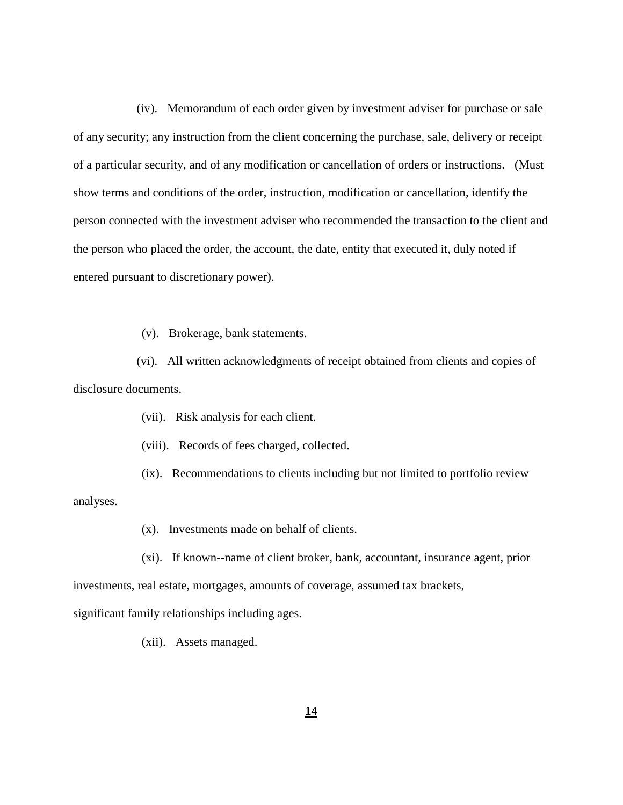(iv). Memorandum of each order given by investment adviser for purchase or sale of any security; any instruction from the client concerning the purchase, sale, delivery or receipt of a particular security, and of any modification or cancellation of orders or instructions. (Must show terms and conditions of the order, instruction, modification or cancellation, identify the person connected with the investment adviser who recommended the transaction to the client and the person who placed the order, the account, the date, entity that executed it, duly noted if entered pursuant to discretionary power).

(v). Brokerage, bank statements.

 (vi). All written acknowledgments of receipt obtained from clients and copies of disclosure documents.

- (vii). Risk analysis for each client.
- (viii). Records of fees charged, collected.

 (ix). Recommendations to clients including but not limited to portfolio review analyses.

(x). Investments made on behalf of clients.

 (xi). If known--name of client broker, bank, accountant, insurance agent, prior investments, real estate, mortgages, amounts of coverage, assumed tax brackets, significant family relationships including ages.

(xii). Assets managed.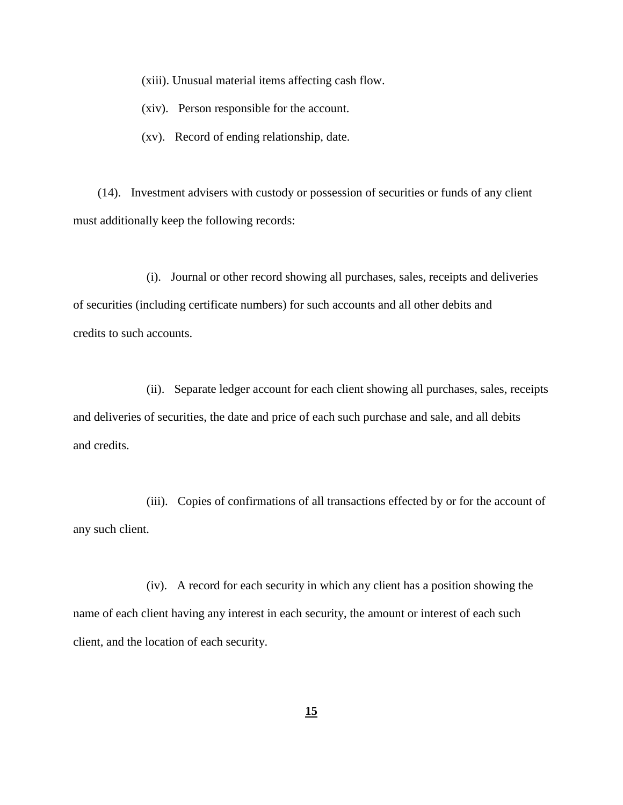(xiii). Unusual material items affecting cash flow.

(xiv). Person responsible for the account.

(xv). Record of ending relationship, date.

 (14). Investment advisers with custody or possession of securities or funds of any client must additionally keep the following records:

 (i). Journal or other record showing all purchases, sales, receipts and deliveries of securities (including certificate numbers) for such accounts and all other debits and credits to such accounts.

 (ii). Separate ledger account for each client showing all purchases, sales, receipts and deliveries of securities, the date and price of each such purchase and sale, and all debits and credits.

 (iii). Copies of confirmations of all transactions effected by or for the account of any such client.

 (iv). A record for each security in which any client has a position showing the name of each client having any interest in each security, the amount or interest of each such client, and the location of each security.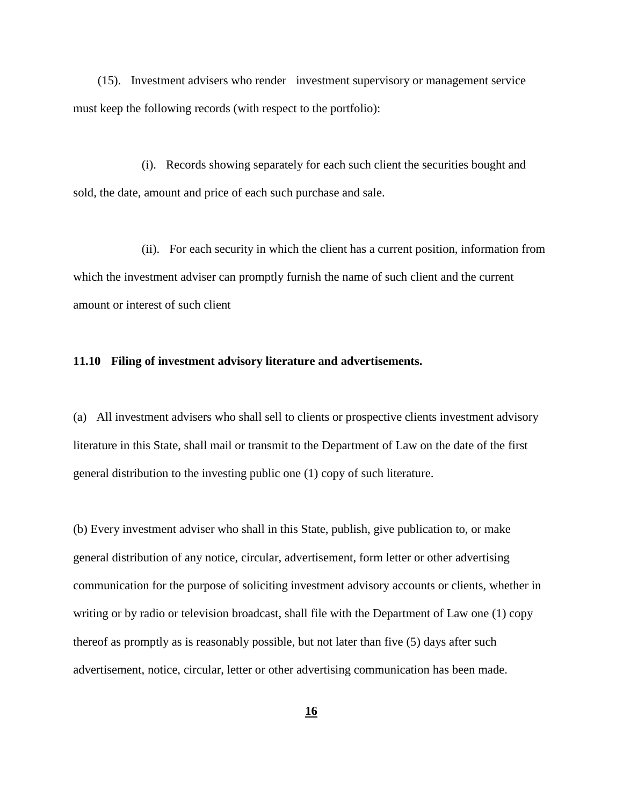(15). Investment advisers who render investment supervisory or management service must keep the following records (with respect to the portfolio):

 (i). Records showing separately for each such client the securities bought and sold, the date, amount and price of each such purchase and sale.

 (ii). For each security in which the client has a current position, information from which the investment adviser can promptly furnish the name of such client and the current amount or interest of such client

# **11.10 Filing of investment advisory literature and advertisements.**

(a) All investment advisers who shall sell to clients or prospective clients investment advisory literature in this State, shall mail or transmit to the Department of Law on the date of the first general distribution to the investing public one (1) copy of such literature.

(b) Every investment adviser who shall in this State, publish, give publication to, or make general distribution of any notice, circular, advertisement, form letter or other advertising communication for the purpose of soliciting investment advisory accounts or clients, whether in writing or by radio or television broadcast, shall file with the Department of Law one (1) copy thereof as promptly as is reasonably possible, but not later than five (5) days after such advertisement, notice, circular, letter or other advertising communication has been made.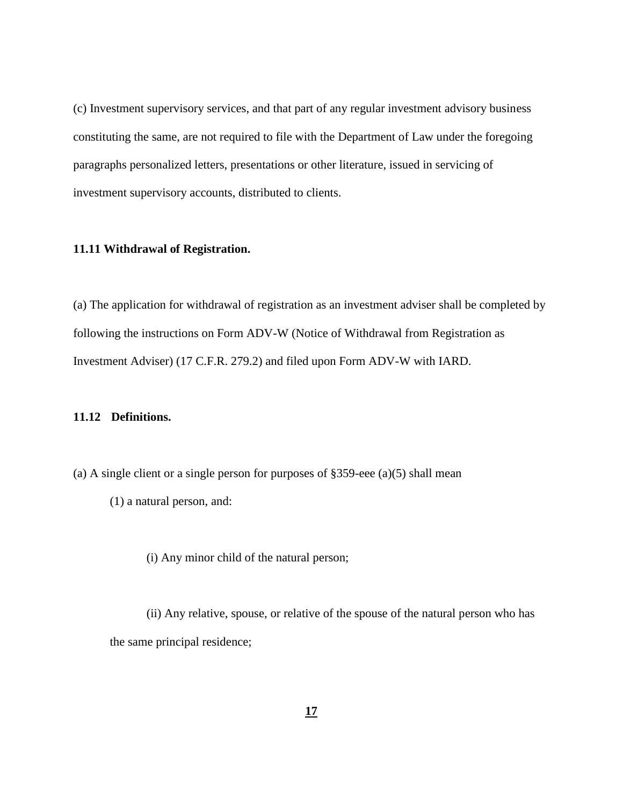(c) Investment supervisory services, and that part of any regular investment advisory business constituting the same, are not required to file with the Department of Law under the foregoing paragraphs personalized letters, presentations or other literature, issued in servicing of investment supervisory accounts, distributed to clients.

# **11.11 Withdrawal of Registration.**

(a) The application for withdrawal of registration as an investment adviser shall be completed by following the instructions on Form ADV-W (Notice of Withdrawal from Registration as Investment Adviser) (17 C.F.R. 279.2) and filed upon Form ADV-W with IARD.

#### **11.12 Definitions.**

- (a) A single client or a single person for purposes of §359-eee (a)(5) shall mean
	- (1) a natural person, and:
		- (i) Any minor child of the natural person;

(ii) Any relative, spouse, or relative of the spouse of the natural person who has the same principal residence;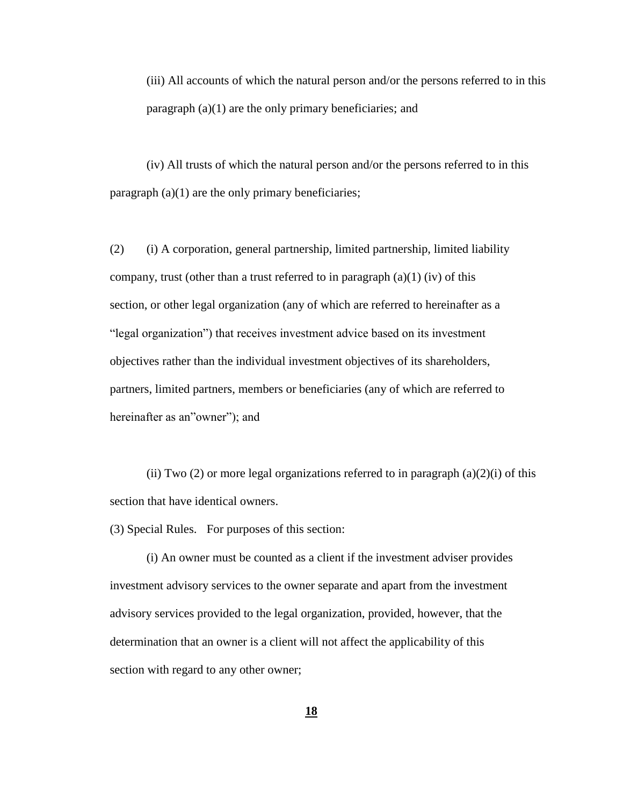(iii) All accounts of which the natural person and/or the persons referred to in this paragraph (a)(1) are the only primary beneficiaries; and

(iv) All trusts of which the natural person and/or the persons referred to in this paragraph (a)(1) are the only primary beneficiaries;

(2) (i) A corporation, general partnership, limited partnership, limited liability company, trust (other than a trust referred to in paragraph  $(a)(1)$  (iv) of this section, or other legal organization (any of which are referred to hereinafter as a "legal organization") that receives investment advice based on its investment objectives rather than the individual investment objectives of its shareholders, partners, limited partners, members or beneficiaries (any of which are referred to hereinafter as an"owner"; and

(ii) Two (2) or more legal organizations referred to in paragraph  $(a)(2)(i)$  of this section that have identical owners.

(3) Special Rules. For purposes of this section:

(i) An owner must be counted as a client if the investment adviser provides investment advisory services to the owner separate and apart from the investment advisory services provided to the legal organization, provided, however, that the determination that an owner is a client will not affect the applicability of this section with regard to any other owner;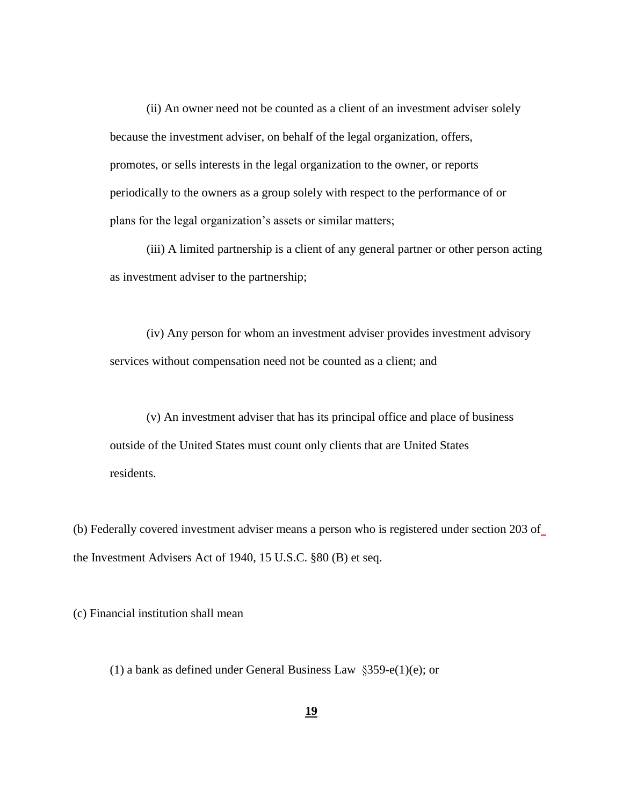(ii) An owner need not be counted as a client of an investment adviser solely because the investment adviser, on behalf of the legal organization, offers, promotes, or sells interests in the legal organization to the owner, or reports periodically to the owners as a group solely with respect to the performance of or plans for the legal organization's assets or similar matters;

(iii) A limited partnership is a client of any general partner or other person acting as investment adviser to the partnership;

(iv) Any person for whom an investment adviser provides investment advisory services without compensation need not be counted as a client; and

(v) An investment adviser that has its principal office and place of business outside of the United States must count only clients that are United States residents.

(b) Federally covered investment adviser means a person who is registered under section 203 of the Investment Advisers Act of 1940, 15 U.S.C. §80 (B) et seq.

(c) Financial institution shall mean

(1) a bank as defined under General Business Law §359-e(1)(e); or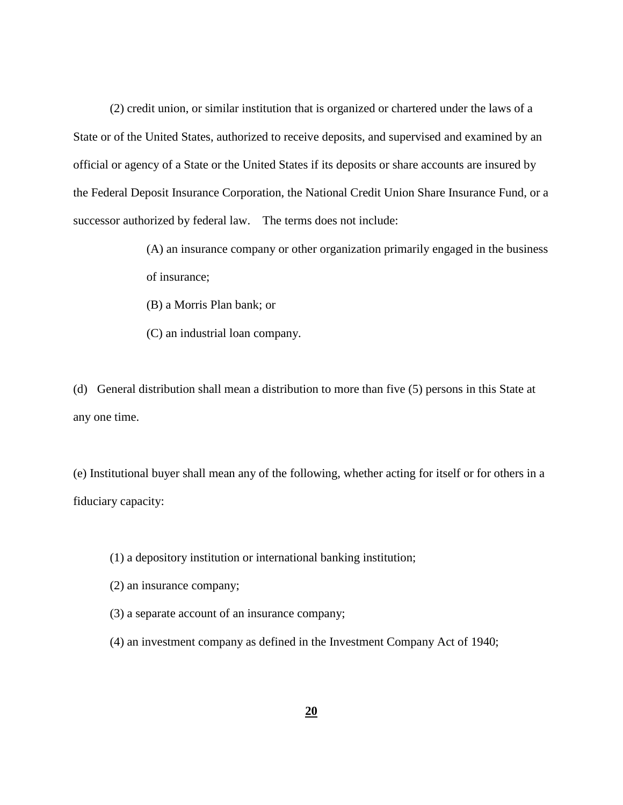(2) credit union, or similar institution that is organized or chartered under the laws of a State or of the United States, authorized to receive deposits, and supervised and examined by an official or agency of a State or the United States if its deposits or share accounts are insured by the Federal Deposit Insurance Corporation, the National Credit Union Share Insurance Fund, or a successor authorized by federal law. The terms does not include:

> (A) an insurance company or other organization primarily engaged in the business of insurance;

(B) a Morris Plan bank; or

(C) an industrial loan company.

(d) General distribution shall mean a distribution to more than five (5) persons in this State at any one time.

(e) Institutional buyer shall mean any of the following, whether acting for itself or for others in a fiduciary capacity:

- (3) a separate account of an insurance company;
- (4) an investment company as defined in the Investment Company Act of 1940;

<sup>(1)</sup> a depository institution or international banking institution;

<sup>(2)</sup> an insurance company;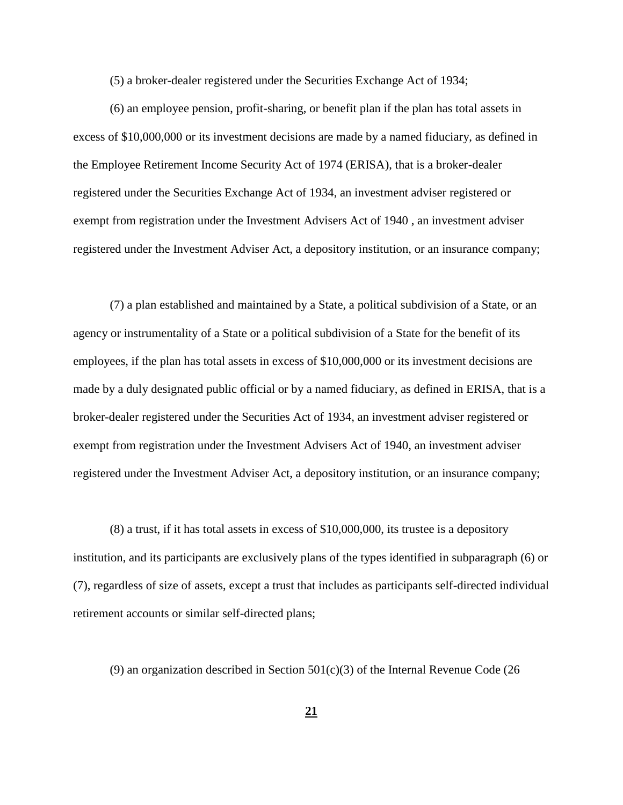(5) a broker-dealer registered under the Securities Exchange Act of 1934;

(6) an employee pension, profit-sharing, or benefit plan if the plan has total assets in excess of \$10,000,000 or its investment decisions are made by a named fiduciary, as defined in the Employee Retirement Income Security Act of 1974 (ERISA), that is a broker-dealer registered under the Securities Exchange Act of 1934, an investment adviser registered or exempt from registration under the Investment Advisers Act of 1940 , an investment adviser registered under the Investment Adviser Act, a depository institution, or an insurance company;

(7) a plan established and maintained by a State, a political subdivision of a State, or an agency or instrumentality of a State or a political subdivision of a State for the benefit of its employees, if the plan has total assets in excess of \$10,000,000 or its investment decisions are made by a duly designated public official or by a named fiduciary, as defined in ERISA, that is a broker-dealer registered under the Securities Act of 1934, an investment adviser registered or exempt from registration under the Investment Advisers Act of 1940, an investment adviser registered under the Investment Adviser Act, a depository institution, or an insurance company;

(8) a trust, if it has total assets in excess of \$10,000,000, its trustee is a depository institution, and its participants are exclusively plans of the types identified in subparagraph (6) or (7), regardless of size of assets, except a trust that includes as participants self-directed individual retirement accounts or similar self-directed plans;

(9) an organization described in Section  $501(c)(3)$  of the Internal Revenue Code (26)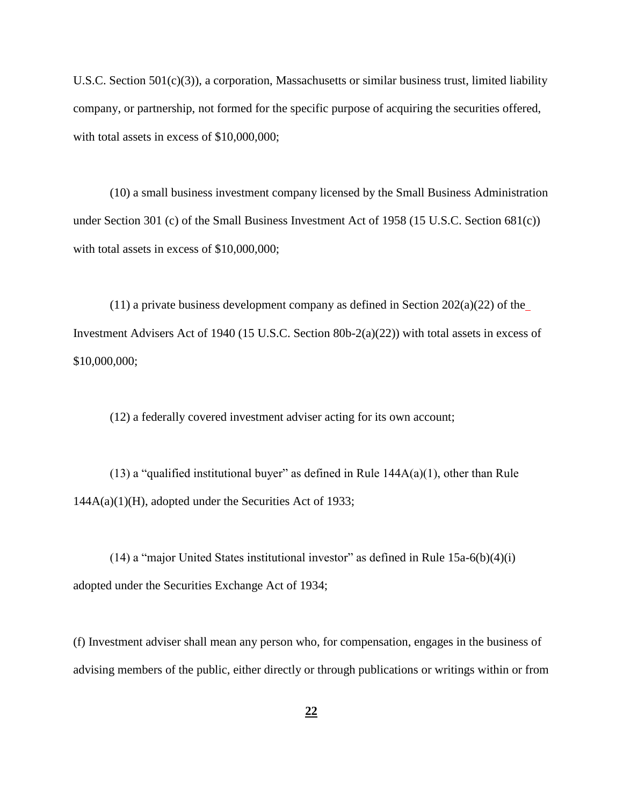U.S.C. Section 501(c)(3)), a corporation, Massachusetts or similar business trust, limited liability company, or partnership, not formed for the specific purpose of acquiring the securities offered, with total assets in excess of \$10,000,000;

(10) a small business investment company licensed by the Small Business Administration under Section 301 (c) of the Small Business Investment Act of 1958 (15 U.S.C. Section 681(c)) with total assets in excess of \$10,000,000;

(11) a private business development company as defined in Section 202(a)(22) of the Investment Advisers Act of 1940 (15 U.S.C. Section 80b-2(a)(22)) with total assets in excess of \$10,000,000;

(12) a federally covered investment adviser acting for its own account;

(13) a "qualified institutional buyer" as defined in Rule  $144A(a)(1)$ , other than Rule 144A(a)(1)(H), adopted under the Securities Act of 1933;

(14) a "major United States institutional investor" as defined in Rule  $15a-6(b)(4)(i)$ adopted under the Securities Exchange Act of 1934;

(f) Investment adviser shall mean any person who, for compensation, engages in the business of advising members of the public, either directly or through publications or writings within or from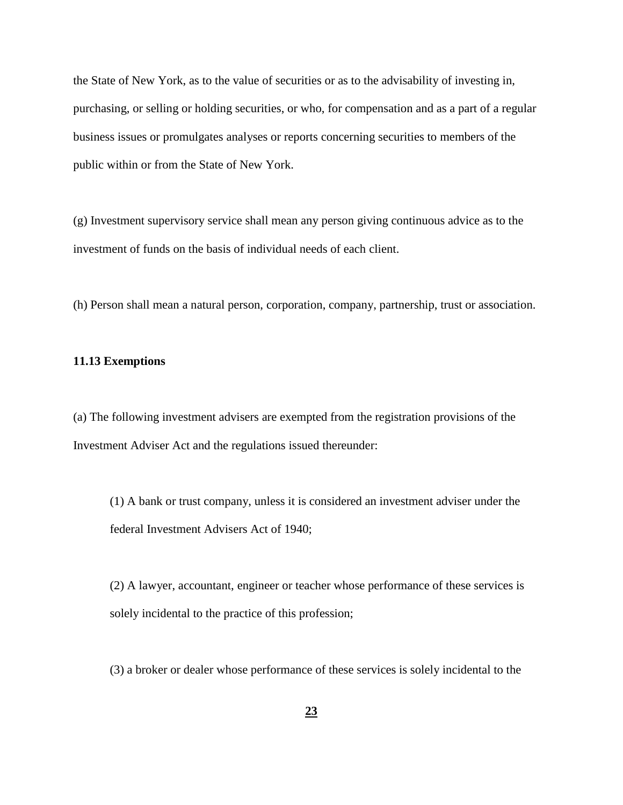the State of New York, as to the value of securities or as to the advisability of investing in, purchasing, or selling or holding securities, or who, for compensation and as a part of a regular business issues or promulgates analyses or reports concerning securities to members of the public within or from the State of New York.

(g) Investment supervisory service shall mean any person giving continuous advice as to the investment of funds on the basis of individual needs of each client.

(h) Person shall mean a natural person, corporation, company, partnership, trust or association.

# **11.13 Exemptions**

(a) The following investment advisers are exempted from the registration provisions of the Investment Adviser Act and the regulations issued thereunder:

(1) A bank or trust company, unless it is considered an investment adviser under the federal Investment Advisers Act of 1940;

(2) A lawyer, accountant, engineer or teacher whose performance of these services is solely incidental to the practice of this profession;

(3) a broker or dealer whose performance of these services is solely incidental to the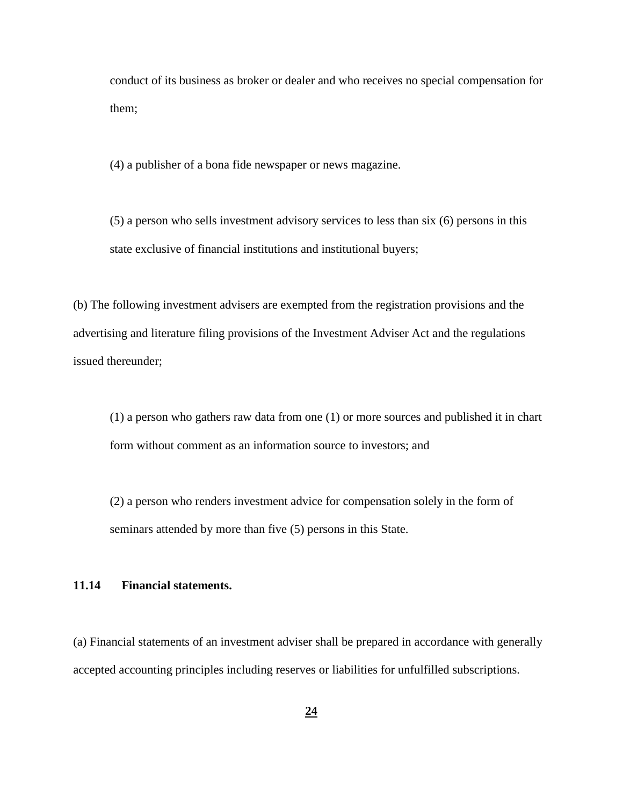conduct of its business as broker or dealer and who receives no special compensation for them;

(4) a publisher of a bona fide newspaper or news magazine.

(5) a person who sells investment advisory services to less than six (6) persons in this state exclusive of financial institutions and institutional buyers;

(b) The following investment advisers are exempted from the registration provisions and the advertising and literature filing provisions of the Investment Adviser Act and the regulations issued thereunder;

(1) a person who gathers raw data from one (1) or more sources and published it in chart form without comment as an information source to investors; and

(2) a person who renders investment advice for compensation solely in the form of seminars attended by more than five (5) persons in this State.

# **11.14 Financial statements.**

(a) Financial statements of an investment adviser shall be prepared in accordance with generally accepted accounting principles including reserves or liabilities for unfulfilled subscriptions.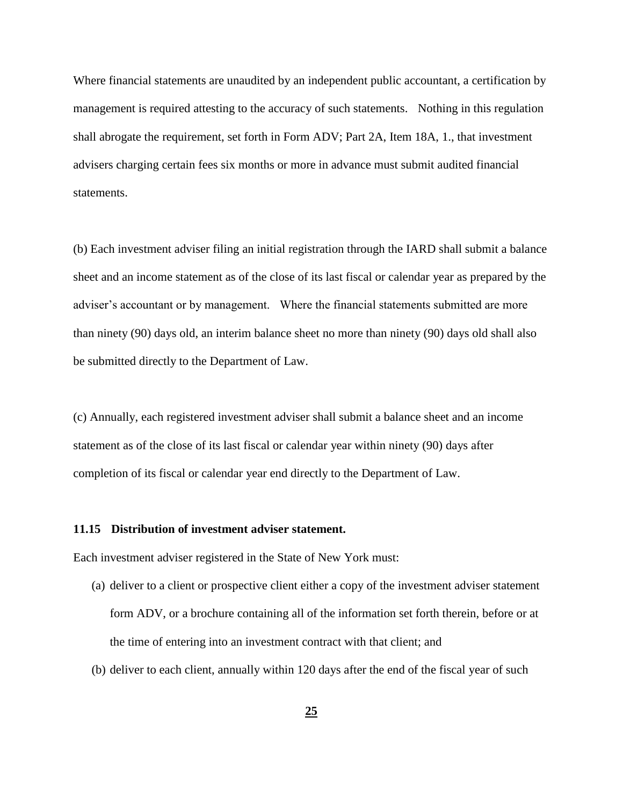Where financial statements are unaudited by an independent public accountant, a certification by management is required attesting to the accuracy of such statements. Nothing in this regulation shall abrogate the requirement, set forth in Form ADV; Part 2A, Item 18A, 1., that investment advisers charging certain fees six months or more in advance must submit audited financial statements.

(b) Each investment adviser filing an initial registration through the IARD shall submit a balance sheet and an income statement as of the close of its last fiscal or calendar year as prepared by the adviser's accountant or by management. Where the financial statements submitted are more than ninety (90) days old, an interim balance sheet no more than ninety (90) days old shall also be submitted directly to the Department of Law.

(c) Annually, each registered investment adviser shall submit a balance sheet and an income statement as of the close of its last fiscal or calendar year within ninety (90) days after completion of its fiscal or calendar year end directly to the Department of Law.

#### **11.15 Distribution of investment adviser statement.**

Each investment adviser registered in the State of New York must:

- (a) deliver to a client or prospective client either a copy of the investment adviser statement form ADV, or a brochure containing all of the information set forth therein, before or at the time of entering into an investment contract with that client; and
- (b) deliver to each client, annually within 120 days after the end of the fiscal year of such